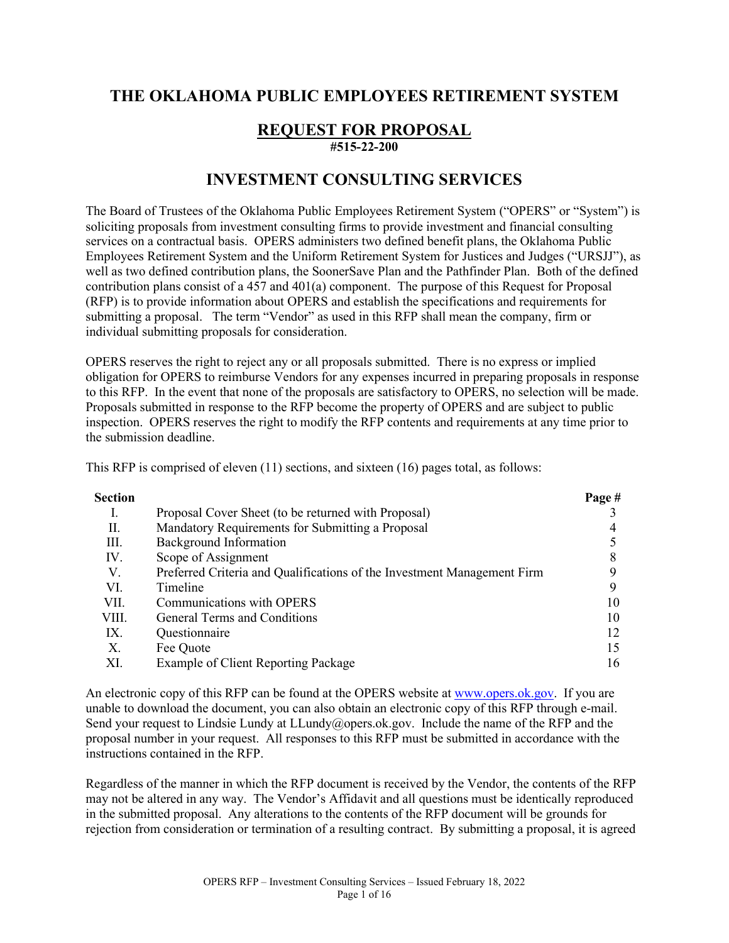# **THE OKLAHOMA PUBLIC EMPLOYEES RETIREMENT SYSTEM**

### **REQUEST FOR PROPOSAL #515-22-200**

# **INVESTMENT CONSULTING SERVICES**

The Board of Trustees of the Oklahoma Public Employees Retirement System ("OPERS" or "System") is soliciting proposals from investment consulting firms to provide investment and financial consulting services on a contractual basis. OPERS administers two defined benefit plans, the Oklahoma Public Employees Retirement System and the Uniform Retirement System for Justices and Judges ("URSJJ"), as well as two defined contribution plans, the SoonerSave Plan and the Pathfinder Plan. Both of the defined contribution plans consist of a 457 and 401(a) component. The purpose of this Request for Proposal (RFP) is to provide information about OPERS and establish the specifications and requirements for submitting a proposal. The term "Vendor" as used in this RFP shall mean the company, firm or individual submitting proposals for consideration.

OPERS reserves the right to reject any or all proposals submitted. There is no express or implied obligation for OPERS to reimburse Vendors for any expenses incurred in preparing proposals in response to this RFP. In the event that none of the proposals are satisfactory to OPERS, no selection will be made. Proposals submitted in response to the RFP become the property of OPERS and are subject to public inspection. OPERS reserves the right to modify the RFP contents and requirements at any time prior to the submission deadline.

This RFP is comprised of eleven (11) sections, and sixteen (16) pages total, as follows:

| Section |                                                                         | Page # |
|---------|-------------------------------------------------------------------------|--------|
| I.      | Proposal Cover Sheet (to be returned with Proposal)                     |        |
| П.      | Mandatory Requirements for Submitting a Proposal                        |        |
| III.    | Background Information                                                  |        |
| IV.     | Scope of Assignment                                                     |        |
| V.      | Preferred Criteria and Qualifications of the Investment Management Firm |        |
| VI.     | Timeline                                                                |        |
| VII.    | Communications with OPERS                                               | 10     |
| VIII.   | General Terms and Conditions                                            | 10     |
| IX.     | Questionnaire                                                           | 12     |
| Х.      | Fee Quote                                                               | 15     |
| XI.     | Example of Client Reporting Package                                     | 16     |

An electronic copy of this RFP can be found at the OPERS website at [www.opers.ok.gov.](http://www.opers.ok.gov/) If you are unable to download the document, you can also obtain an electronic copy of this RFP through e-mail. Send your request to Lindsie Lundy at LLundy@opers.ok.gov. Include the name of the RFP and the proposal number in your request. All responses to this RFP must be submitted in accordance with the instructions contained in the RFP.

Regardless of the manner in which the RFP document is received by the Vendor, the contents of the RFP may not be altered in any way. The Vendor's Affidavit and all questions must be identically reproduced in the submitted proposal. Any alterations to the contents of the RFP document will be grounds for rejection from consideration or termination of a resulting contract. By submitting a proposal, it is agreed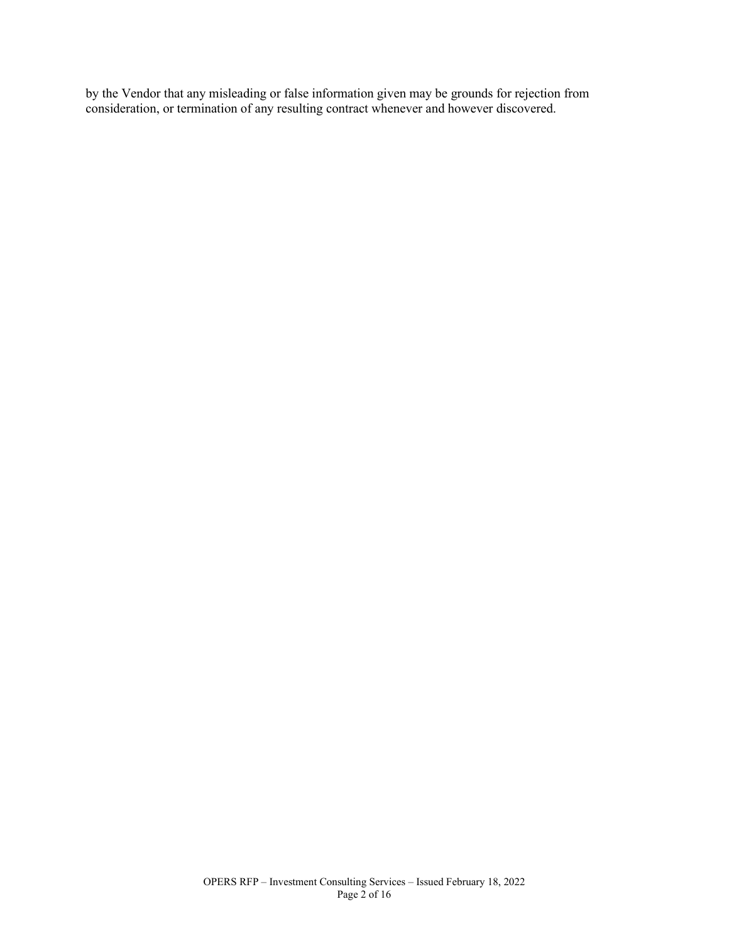by the Vendor that any misleading or false information given may be grounds for rejection from consideration, or termination of any resulting contract whenever and however discovered.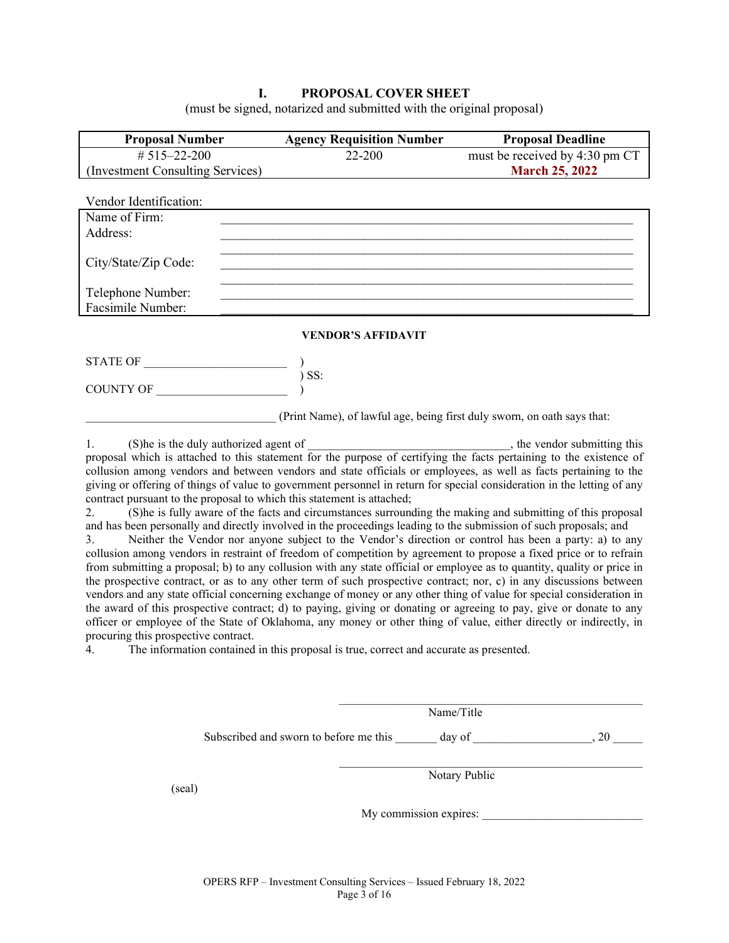### **I. PROPOSAL COVER SHEET**

(must be signed, notarized and submitted with the original proposal)

| <b>Proposal Number</b>           | <b>Agency Requisition Number</b>                                        | <b>Proposal Deadline</b>                                                          |
|----------------------------------|-------------------------------------------------------------------------|-----------------------------------------------------------------------------------|
| # $515 - 22 - 200$               | 22-200                                                                  | must be received by 4:30 pm CT                                                    |
| (Investment Consulting Services) |                                                                         | <b>March 25, 2022</b>                                                             |
|                                  |                                                                         |                                                                                   |
| Vendor Identification:           |                                                                         |                                                                                   |
| Name of Firm:                    |                                                                         |                                                                                   |
| Address:                         |                                                                         |                                                                                   |
|                                  |                                                                         |                                                                                   |
| City/State/Zip Code:             |                                                                         |                                                                                   |
|                                  |                                                                         |                                                                                   |
| Telephone Number:                |                                                                         |                                                                                   |
| Facsimile Number:                |                                                                         |                                                                                   |
|                                  | <b>VENDOR'S AFFIDAVIT</b>                                               |                                                                                   |
|                                  |                                                                         |                                                                                   |
|                                  | $)$ SS:                                                                 |                                                                                   |
|                                  |                                                                         |                                                                                   |
|                                  | (Print Name), of lawful age, being first duly sworn, on oath says that: |                                                                                   |
| 1.                               |                                                                         | (S) he is the duly authorized agent of $\frac{1}{2}$ , the vendor submitting this |

proposal which is attached to this statement for the purpose of certifying the facts pertaining to the existence of collusion among vendors and between vendors and state officials or employees, as well as facts pertaining to the giving or offering of things of value to government personnel in return for special consideration in the letting of any contract pursuant to the proposal to which this statement is attached;

2. (S)he is fully aware of the facts and circumstances surrounding the making and submitting of this proposal and has been personally and directly involved in the proceedings leading to the submission of such proposals; and

3. Neither the Vendor nor anyone subject to the Vendor's direction or control has been a party: a) to any collusion among vendors in restraint of freedom of competition by agreement to propose a fixed price or to refrain from submitting a proposal; b) to any collusion with any state official or employee as to quantity, quality or price in the prospective contract, or as to any other term of such prospective contract; nor, c) in any discussions between vendors and any state official concerning exchange of money or any other thing of value for special consideration in the award of this prospective contract; d) to paying, giving or donating or agreeing to pay, give or donate to any officer or employee of the State of Oklahoma, any money or other thing of value, either directly or indirectly, in procuring this prospective contract.<br>4 The information contained

The information contained in this proposal is true, correct and accurate as presented.

|        |                                        | Name/Title             |      |
|--------|----------------------------------------|------------------------|------|
|        | Subscribed and sworn to before me this | day of                 | , 20 |
| (seal) |                                        | Notary Public          |      |
|        |                                        | My commission expires: |      |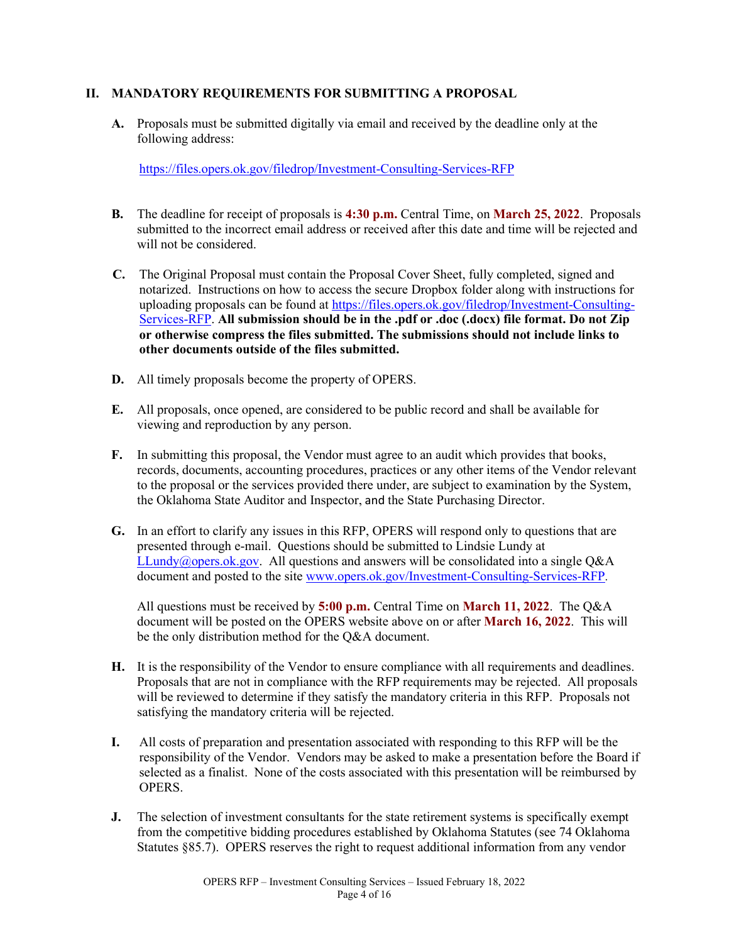### **II. MANDATORY REQUIREMENTS FOR SUBMITTING A PROPOSAL**

**A.** Proposals must be submitted digitally via email and received by the deadline only at the following address:

<https://files.opers.ok.gov/filedrop/Investment-Consulting-Services-RFP>

- **B.** The deadline for receipt of proposals is **4:30 p.m.** Central Time, on **March 25, 2022**. Proposals submitted to the incorrect email address or received after this date and time will be rejected and will not be considered.
- **C.** The Original Proposal must contain the Proposal Cover Sheet, fully completed, signed and notarized. Instructions on how to access the secure Dropbox folder along with instructions for uploading proposals can be found at [https://files.opers.ok.gov/filedrop/Investment-Consulting-](https://files.opers.ok.gov/filedrop/Investment-Consulting-Services-RFP)[Services-RFP.](https://files.opers.ok.gov/filedrop/Investment-Consulting-Services-RFP) **All submission should be in the .pdf or .doc (.docx) file format. Do not Zip or otherwise compress the files submitted. The submissions should not include links to other documents outside of the files submitted.**
- **D.** All timely proposals become the property of OPERS.
- **E.** All proposals, once opened, are considered to be public record and shall be available for viewing and reproduction by any person.
- **F.** In submitting this proposal, the Vendor must agree to an audit which provides that books, records, documents, accounting procedures, practices or any other items of the Vendor relevant to the proposal or the services provided there under, are subject to examination by the System, the Oklahoma State Auditor and Inspector, and the State Purchasing Director.
- **G.** In an effort to clarify any issues in this RFP, OPERS will respond only to questions that are presented through e-mail. Questions should be submitted to Lindsie Lundy at [LLundy@opers.ok.gov.](mailto:llundy@opers.ok.gov) All questions and answers will be consolidated into a single Q&A document and posted to the site [www.opers.ok.gov/Investment-Consulting-Services-RFP.](http://www.opers.ok.gov/Investment-Consulting-Services-RFP)

All questions must be received by **5:00 p.m.** Central Time on **March 11, 2022**. The Q&A document will be posted on the OPERS website above on or after **March 16, 2022**. This will be the only distribution method for the Q&A document.

- **H.** It is the responsibility of the Vendor to ensure compliance with all requirements and deadlines. Proposals that are not in compliance with the RFP requirements may be rejected. All proposals will be reviewed to determine if they satisfy the mandatory criteria in this RFP. Proposals not satisfying the mandatory criteria will be rejected.
- **I.** All costs of preparation and presentation associated with responding to this RFP will be the responsibility of the Vendor. Vendors may be asked to make a presentation before the Board if selected as a finalist. None of the costs associated with this presentation will be reimbursed by OPERS.
- **J.** The selection of investment consultants for the state retirement systems is specifically exempt from the competitive bidding procedures established by Oklahoma Statutes (see 74 Oklahoma Statutes §85.7). OPERS reserves the right to request additional information from any vendor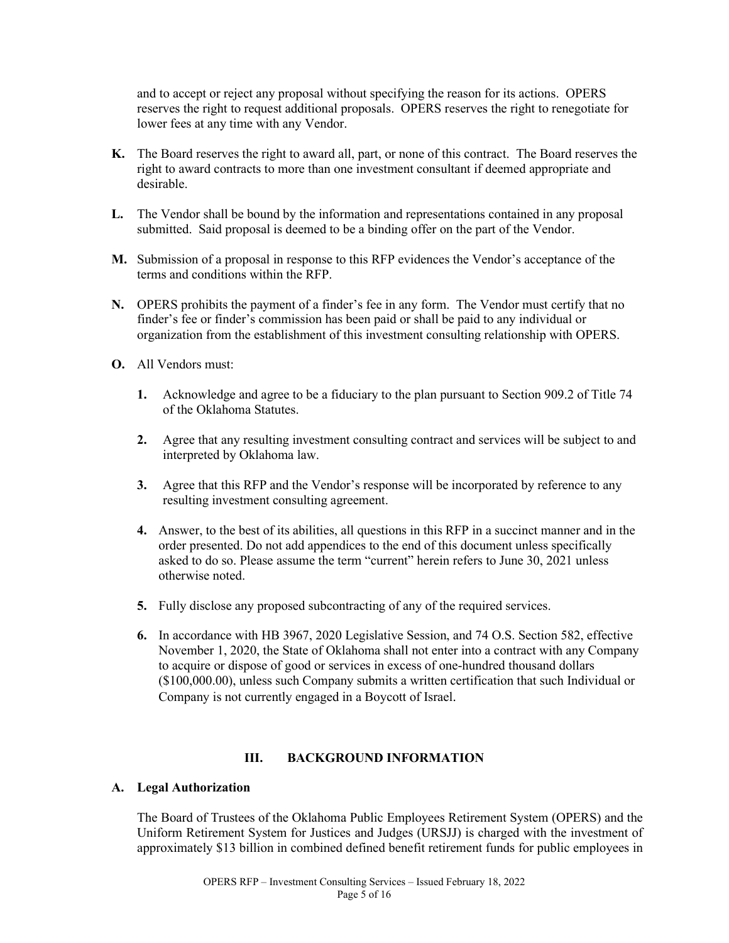and to accept or reject any proposal without specifying the reason for its actions. OPERS reserves the right to request additional proposals. OPERS reserves the right to renegotiate for lower fees at any time with any Vendor.

- **K.** The Board reserves the right to award all, part, or none of this contract. The Board reserves the right to award contracts to more than one investment consultant if deemed appropriate and desirable.
- **L.** The Vendor shall be bound by the information and representations contained in any proposal submitted. Said proposal is deemed to be a binding offer on the part of the Vendor.
- **M.** Submission of a proposal in response to this RFP evidences the Vendor's acceptance of the terms and conditions within the RFP.
- **N.** OPERS prohibits the payment of a finder's fee in any form. The Vendor must certify that no finder's fee or finder's commission has been paid or shall be paid to any individual or organization from the establishment of this investment consulting relationship with OPERS.
- **O.** All Vendors must:
	- **1.** Acknowledge and agree to be a fiduciary to the plan pursuant to Section 909.2 of Title 74 of the Oklahoma Statutes.
	- **2.** Agree that any resulting investment consulting contract and services will be subject to and interpreted by Oklahoma law.
	- **3.** Agree that this RFP and the Vendor's response will be incorporated by reference to any resulting investment consulting agreement.
	- **4.** Answer, to the best of its abilities, all questions in this RFP in a succinct manner and in the order presented. Do not add appendices to the end of this document unless specifically asked to do so. Please assume the term "current" herein refers to June 30, 2021 unless otherwise noted.
	- **5.** Fully disclose any proposed subcontracting of any of the required services.
	- **6.** In accordance with HB 3967, 2020 Legislative Session, and 74 O.S. Section 582, effective November 1, 2020, the State of Oklahoma shall not enter into a contract with any Company to acquire or dispose of good or services in excess of one-hundred thousand dollars (\$100,000.00), unless such Company submits a written certification that such Individual or Company is not currently engaged in a Boycott of Israel.

### **III. BACKGROUND INFORMATION**

### **A. Legal Authorization**

The Board of Trustees of the Oklahoma Public Employees Retirement System (OPERS) and the Uniform Retirement System for Justices and Judges (URSJJ) is charged with the investment of approximately \$13 billion in combined defined benefit retirement funds for public employees in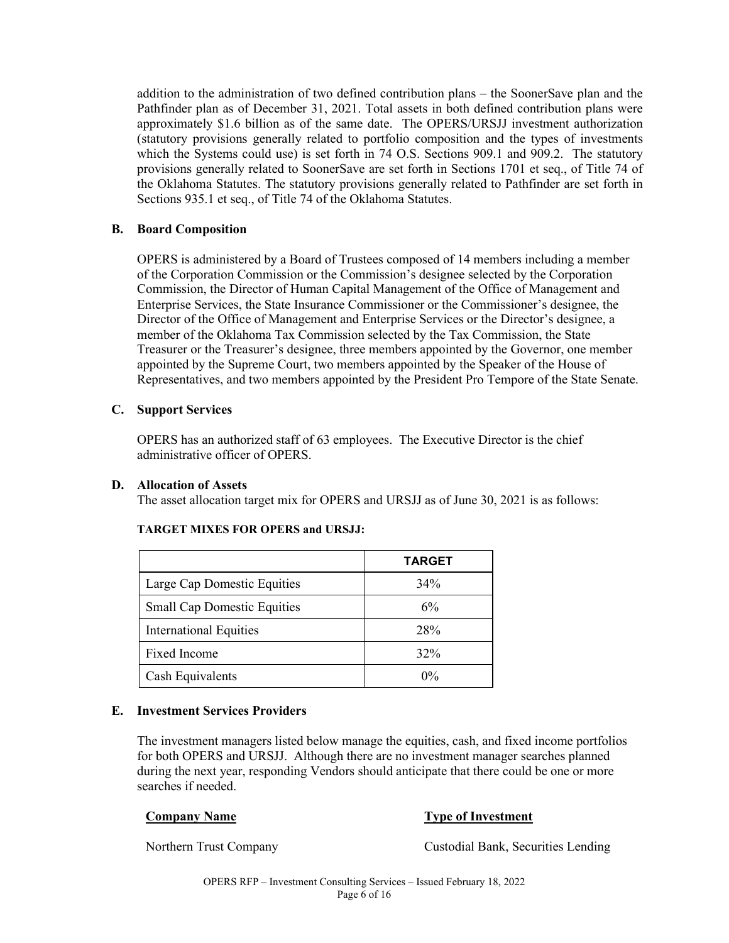addition to the administration of two defined contribution plans – the SoonerSave plan and the Pathfinder plan as of December 31, 2021. Total assets in both defined contribution plans were approximately \$1.6 billion as of the same date. The OPERS/URSJJ investment authorization (statutory provisions generally related to portfolio composition and the types of investments which the Systems could use) is set forth in 74 O.S. Sections 909.1 and 909.2. The statutory provisions generally related to SoonerSave are set forth in Sections 1701 et seq., of Title 74 of the Oklahoma Statutes. The statutory provisions generally related to Pathfinder are set forth in Sections 935.1 et seq., of Title 74 of the Oklahoma Statutes.

## **B. Board Composition**

OPERS is administered by a Board of Trustees composed of 14 members including a member of the Corporation Commission or the Commission's designee selected by the Corporation Commission, the Director of Human Capital Management of the Office of Management and Enterprise Services, the State Insurance Commissioner or the Commissioner's designee, the Director of the Office of Management and Enterprise Services or the Director's designee, a member of the Oklahoma Tax Commission selected by the Tax Commission, the State Treasurer or the Treasurer's designee, three members appointed by the Governor, one member appointed by the Supreme Court, two members appointed by the Speaker of the House of Representatives, and two members appointed by the President Pro Tempore of the State Senate.

## **C. Support Services**

OPERS has an authorized staff of 63 employees. The Executive Director is the chief administrative officer of OPERS.

### **D. Allocation of Assets**

The asset allocation target mix for OPERS and URSJJ as of June 30, 2021 is as follows:

|                                    | <b>TARGET</b> |
|------------------------------------|---------------|
| Large Cap Domestic Equities        | 34%           |
| <b>Small Cap Domestic Equities</b> | 6%            |
| <b>International Equities</b>      | 28%           |
| Fixed Income                       | 32%           |
| Cash Equivalents                   | $0\%$         |

### **TARGET MIXES FOR OPERS and URSJJ:**

### **E. Investment Services Providers**

The investment managers listed below manage the equities, cash, and fixed income portfolios for both OPERS and URSJJ. Although there are no investment manager searches planned during the next year, responding Vendors should anticipate that there could be one or more searches if needed.

### **Company Name Type of Investment**

Northern Trust Company Custodial Bank, Securities Lending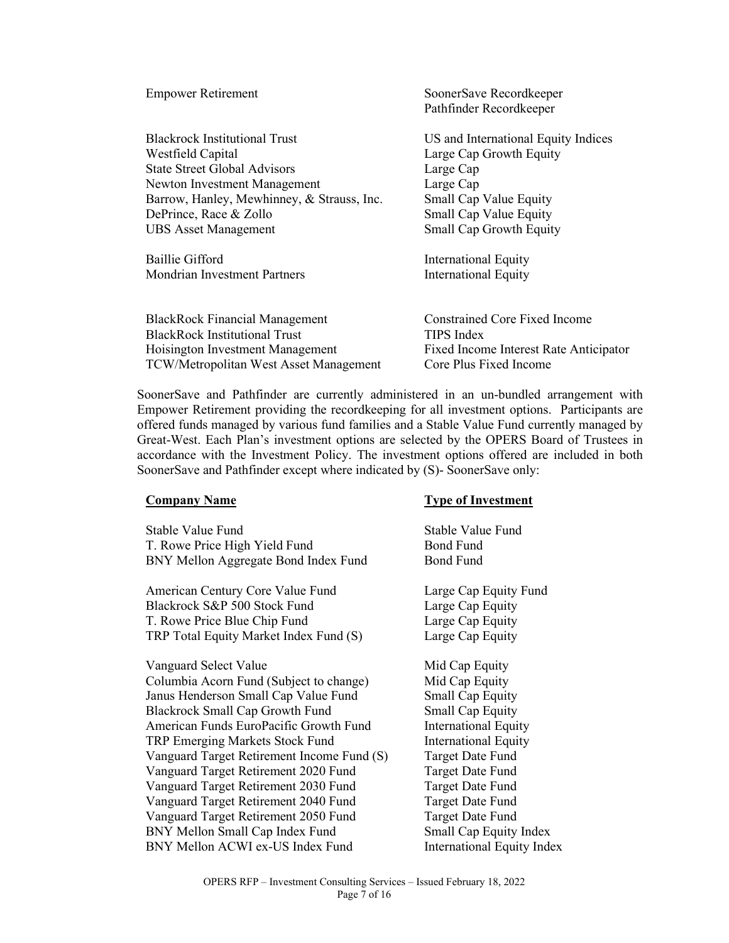| <b>Empower Retirement</b>                     | SoonerSave Recordkeeper<br>Pathfinder Recordkeeper |
|-----------------------------------------------|----------------------------------------------------|
| <b>Blackrock Institutional Trust</b>          | US and International Equity Indices                |
| Westfield Capital                             | Large Cap Growth Equity                            |
| <b>State Street Global Advisors</b>           | Large Cap                                          |
| Newton Investment Management                  | Large Cap                                          |
| Barrow, Hanley, Mewhinney, & Strauss, Inc.    | Small Cap Value Equity                             |
| DePrince, Race & Zollo                        | Small Cap Value Equity                             |
| <b>UBS</b> Asset Management                   | Small Cap Growth Equity                            |
| Baillie Gifford                               | <b>International Equity</b>                        |
| Mondrian Investment Partners                  | <b>International Equity</b>                        |
| <b>BlackRock Financial Management</b>         | <b>Constrained Core Fixed Income</b>               |
| <b>BlackRock Institutional Trust</b>          | TIPS Index                                         |
| Hoisington Investment Management              | Fixed Income Interest Rate Anticipator             |
| <b>TCW/Metropolitan West Asset Management</b> | Core Plus Fixed Income                             |

SoonerSave and Pathfinder are currently administered in an un-bundled arrangement with Empower Retirement providing the recordkeeping for all investment options. Participants are offered funds managed by various fund families and a Stable Value Fund currently managed by Great-West. Each Plan's investment options are selected by the OPERS Board of Trustees in accordance with the Investment Policy. The investment options offered are included in both SoonerSave and Pathfinder except where indicated by (S)- SoonerSave only:

Stable Value Fund Stable Value Fund T. Rowe Price High Yield Fund Bond Fund BNY Mellon Aggregate Bond Index Fund Bond Fund

American Century Core Value Fund Large Cap Equity Fund Blackrock S&P 500 Stock Fund Large Cap Equity T. Rowe Price Blue Chip Fund Large Cap Equity TRP Total Equity Market Index Fund (S) Large Cap Equity

Vanguard Select Value Mid Cap Equity Columbia Acorn Fund (Subject to change) Mid Cap Equity Janus Henderson Small Cap Value Fund Small Cap Equity Blackrock Small Cap Growth Fund Small Cap Equity American Funds EuroPacific Growth Fund International Equity TRP Emerging Markets Stock Fund<br>
Vanguard Target Retirement Income Fund (S) Target Date Fund Vanguard Target Retirement Income Fund (S) Vanguard Target Retirement 2020 Fund Target Date Fund Vanguard Target Retirement 2030 Fund Target Date Fund Vanguard Target Retirement 2040 Fund Target Date Fund Vanguard Target Retirement 2050 Fund BNY Mellon Small Cap Index Fund BNY Mellon ACWI ex-US Index Fund

### **Company Name Type of Investment**

Target Date Fund Small Cap Equity Index International Equity Index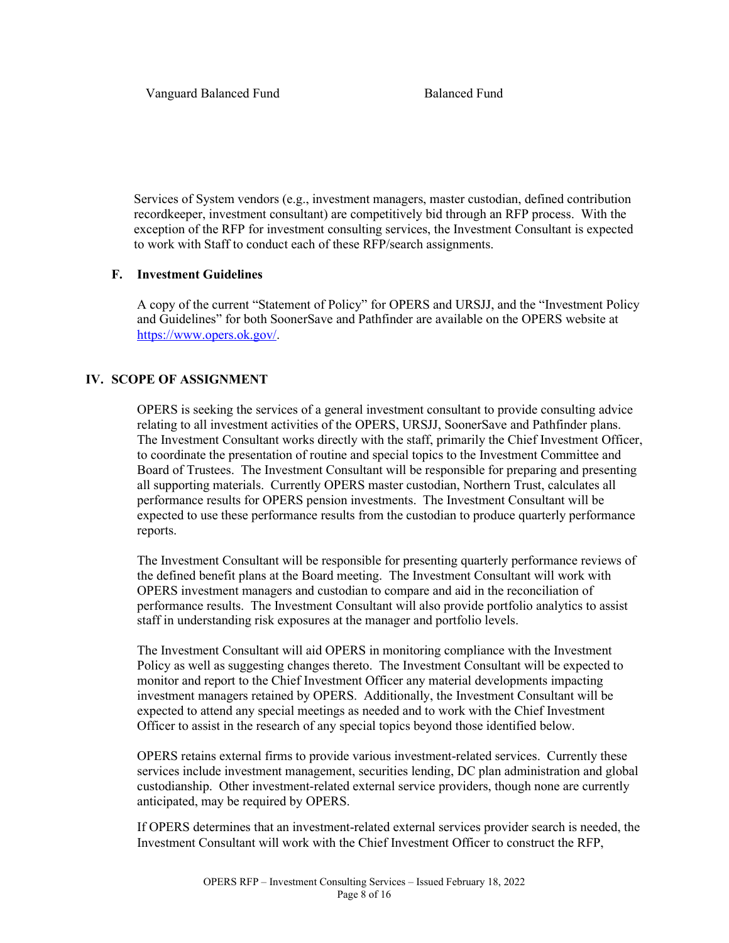Services of System vendors (e.g., investment managers, master custodian, defined contribution recordkeeper, investment consultant) are competitively bid through an RFP process. With the exception of the RFP for investment consulting services, the Investment Consultant is expected to work with Staff to conduct each of these RFP/search assignments.

# **F. Investment Guidelines**

A copy of the current "Statement of Policy" for OPERS and URSJJ, and the "Investment Policy and Guidelines" for both SoonerSave and Pathfinder are available on the OPERS website at [https://www.opers.ok.gov/.](https://www.opers.ok.gov/)

# **IV. SCOPE OF ASSIGNMENT**

OPERS is seeking the services of a general investment consultant to provide consulting advice relating to all investment activities of the OPERS, URSJJ, SoonerSave and Pathfinder plans. The Investment Consultant works directly with the staff, primarily the Chief Investment Officer, to coordinate the presentation of routine and special topics to the Investment Committee and Board of Trustees. The Investment Consultant will be responsible for preparing and presenting all supporting materials. Currently OPERS master custodian, Northern Trust, calculates all performance results for OPERS pension investments. The Investment Consultant will be expected to use these performance results from the custodian to produce quarterly performance reports.

The Investment Consultant will be responsible for presenting quarterly performance reviews of the defined benefit plans at the Board meeting. The Investment Consultant will work with OPERS investment managers and custodian to compare and aid in the reconciliation of performance results. The Investment Consultant will also provide portfolio analytics to assist staff in understanding risk exposures at the manager and portfolio levels.

The Investment Consultant will aid OPERS in monitoring compliance with the Investment Policy as well as suggesting changes thereto. The Investment Consultant will be expected to monitor and report to the Chief Investment Officer any material developments impacting investment managers retained by OPERS. Additionally, the Investment Consultant will be expected to attend any special meetings as needed and to work with the Chief Investment Officer to assist in the research of any special topics beyond those identified below.

OPERS retains external firms to provide various investment-related services. Currently these services include investment management, securities lending, DC plan administration and global custodianship. Other investment-related external service providers, though none are currently anticipated, may be required by OPERS.

If OPERS determines that an investment-related external services provider search is needed, the Investment Consultant will work with the Chief Investment Officer to construct the RFP,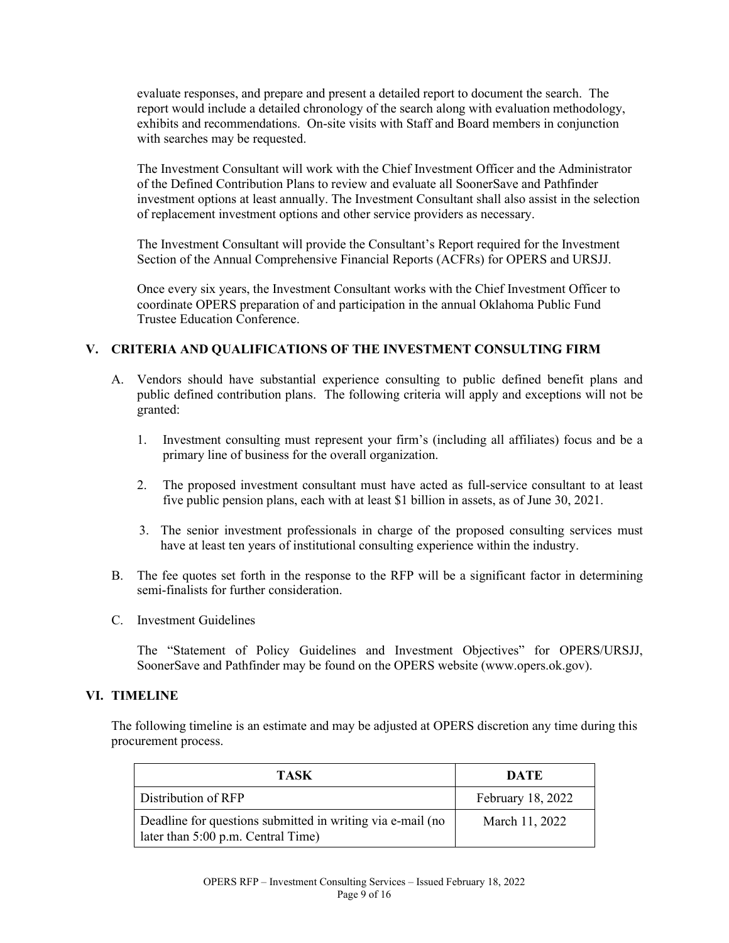evaluate responses, and prepare and present a detailed report to document the search. The report would include a detailed chronology of the search along with evaluation methodology, exhibits and recommendations. On-site visits with Staff and Board members in conjunction with searches may be requested.

The Investment Consultant will work with the Chief Investment Officer and the Administrator of the Defined Contribution Plans to review and evaluate all SoonerSave and Pathfinder investment options at least annually. The Investment Consultant shall also assist in the selection of replacement investment options and other service providers as necessary.

The Investment Consultant will provide the Consultant's Report required for the Investment Section of the Annual Comprehensive Financial Reports (ACFRs) for OPERS and URSJJ.

Once every six years, the Investment Consultant works with the Chief Investment Officer to coordinate OPERS preparation of and participation in the annual Oklahoma Public Fund Trustee Education Conference.

### **V. CRITERIA AND QUALIFICATIONS OF THE INVESTMENT CONSULTING FIRM**

- A. Vendors should have substantial experience consulting to public defined benefit plans and public defined contribution plans. The following criteria will apply and exceptions will not be granted:
	- 1. Investment consulting must represent your firm's (including all affiliates) focus and be a primary line of business for the overall organization.
	- 2. The proposed investment consultant must have acted as full-service consultant to at least five public pension plans, each with at least \$1 billion in assets, as of June 30, 2021.
	- 3. The senior investment professionals in charge of the proposed consulting services must have at least ten years of institutional consulting experience within the industry.
- B. The fee quotes set forth in the response to the RFP will be a significant factor in determining semi-finalists for further consideration.
- C. Investment Guidelines

The "Statement of Policy Guidelines and Investment Objectives" for OPERS/URSJJ, SoonerSave and Pathfinder may be found on the OPERS website (www.opers.ok.gov).

### **VI. TIMELINE**

The following timeline is an estimate and may be adjusted at OPERS discretion any time during this procurement process.

| <b>TASK</b>                                                                                      | DATE              |
|--------------------------------------------------------------------------------------------------|-------------------|
| Distribution of RFP                                                                              | February 18, 2022 |
| Deadline for questions submitted in writing via e-mail (no<br>later than 5:00 p.m. Central Time) | March 11, 2022    |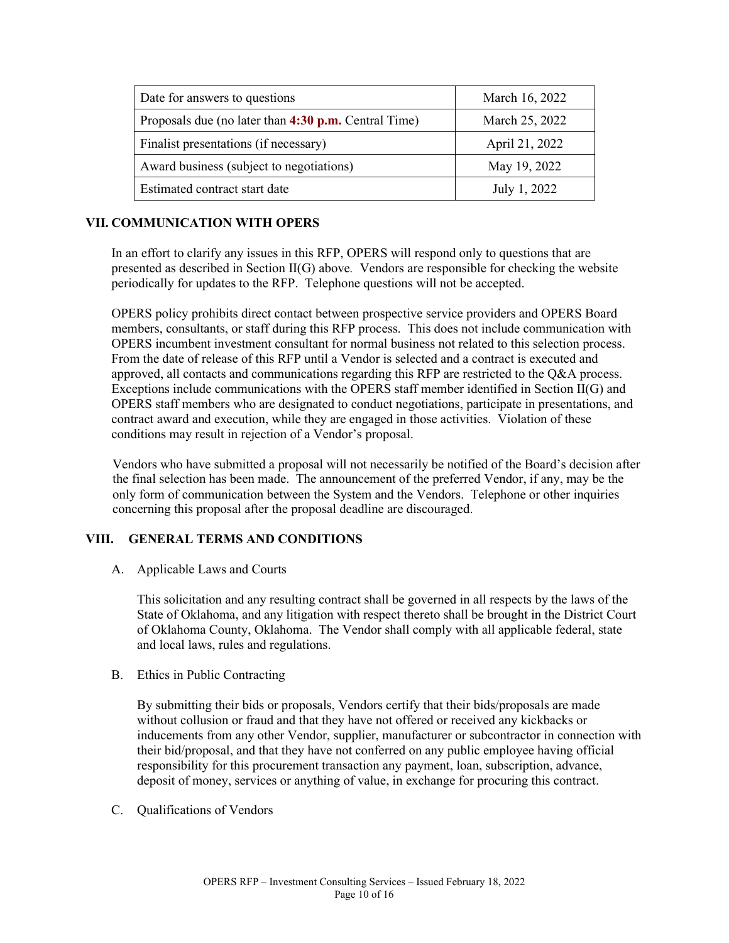| Date for answers to questions                        | March 16, 2022 |
|------------------------------------------------------|----------------|
| Proposals due (no later than 4:30 p.m. Central Time) | March 25, 2022 |
| Finalist presentations (if necessary)                | April 21, 2022 |
| Award business (subject to negotiations)             | May 19, 2022   |
| Estimated contract start date                        | July 1, 2022   |

# **VII. COMMUNICATION WITH OPERS**

In an effort to clarify any issues in this RFP, OPERS will respond only to questions that are presented as described in Section II(G) above*.* Vendors are responsible for checking the website periodically for updates to the RFP. Telephone questions will not be accepted.

OPERS policy prohibits direct contact between prospective service providers and OPERS Board members, consultants, or staff during this RFP process. This does not include communication with OPERS incumbent investment consultant for normal business not related to this selection process. From the date of release of this RFP until a Vendor is selected and a contract is executed and approved, all contacts and communications regarding this RFP are restricted to the  $Q&A$  process. Exceptions include communications with the OPERS staff member identified in Section II(G) and OPERS staff members who are designated to conduct negotiations, participate in presentations, and contract award and execution, while they are engaged in those activities. Violation of these conditions may result in rejection of a Vendor's proposal.

Vendors who have submitted a proposal will not necessarily be notified of the Board's decision after the final selection has been made. The announcement of the preferred Vendor, if any, may be the only form of communication between the System and the Vendors. Telephone or other inquiries concerning this proposal after the proposal deadline are discouraged.

# **VIII. GENERAL TERMS AND CONDITIONS**

A. Applicable Laws and Courts

This solicitation and any resulting contract shall be governed in all respects by the laws of the State of Oklahoma, and any litigation with respect thereto shall be brought in the District Court of Oklahoma County, Oklahoma. The Vendor shall comply with all applicable federal, state and local laws, rules and regulations.

B. Ethics in Public Contracting

By submitting their bids or proposals, Vendors certify that their bids/proposals are made without collusion or fraud and that they have not offered or received any kickbacks or inducements from any other Vendor, supplier, manufacturer or subcontractor in connection with their bid/proposal, and that they have not conferred on any public employee having official responsibility for this procurement transaction any payment, loan, subscription, advance, deposit of money, services or anything of value, in exchange for procuring this contract.

C. Qualifications of Vendors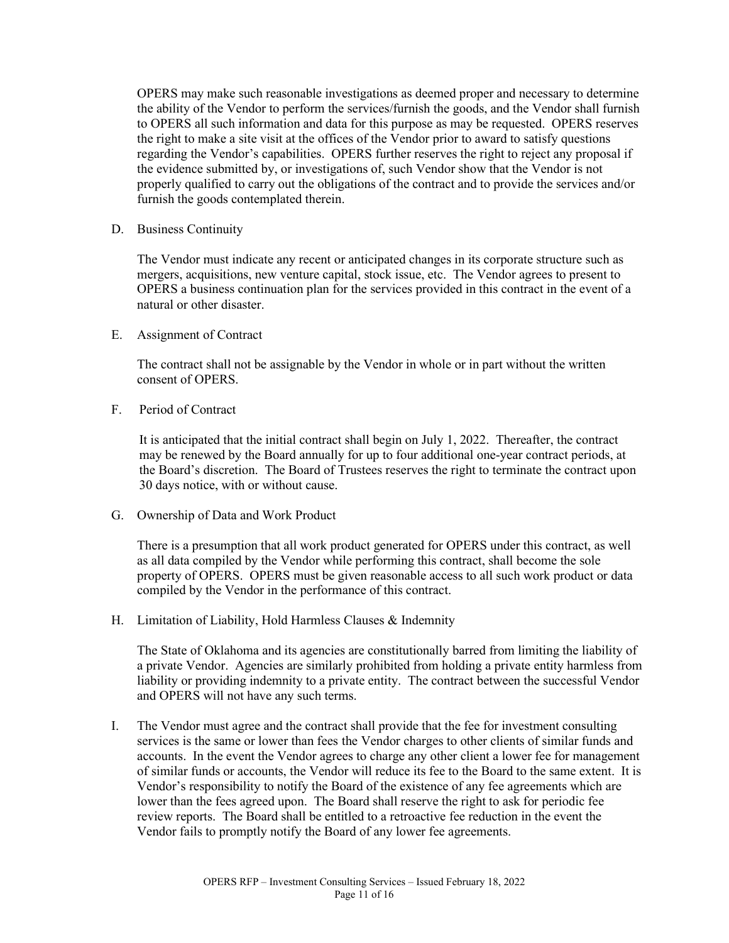OPERS may make such reasonable investigations as deemed proper and necessary to determine the ability of the Vendor to perform the services/furnish the goods, and the Vendor shall furnish to OPERS all such information and data for this purpose as may be requested. OPERS reserves the right to make a site visit at the offices of the Vendor prior to award to satisfy questions regarding the Vendor's capabilities. OPERS further reserves the right to reject any proposal if the evidence submitted by, or investigations of, such Vendor show that the Vendor is not properly qualified to carry out the obligations of the contract and to provide the services and/or furnish the goods contemplated therein.

D. Business Continuity

The Vendor must indicate any recent or anticipated changes in its corporate structure such as mergers, acquisitions, new venture capital, stock issue, etc. The Vendor agrees to present to OPERS a business continuation plan for the services provided in this contract in the event of a natural or other disaster.

E. Assignment of Contract

The contract shall not be assignable by the Vendor in whole or in part without the written consent of OPERS.

F. Period of Contract

It is anticipated that the initial contract shall begin on July 1, 2022. Thereafter, the contract may be renewed by the Board annually for up to four additional one-year contract periods, at the Board's discretion. The Board of Trustees reserves the right to terminate the contract upon 30 days notice, with or without cause.

G. Ownership of Data and Work Product

There is a presumption that all work product generated for OPERS under this contract, as well as all data compiled by the Vendor while performing this contract, shall become the sole property of OPERS. OPERS must be given reasonable access to all such work product or data compiled by the Vendor in the performance of this contract.

H. Limitation of Liability, Hold Harmless Clauses & Indemnity

The State of Oklahoma and its agencies are constitutionally barred from limiting the liability of a private Vendor. Agencies are similarly prohibited from holding a private entity harmless from liability or providing indemnity to a private entity. The contract between the successful Vendor and OPERS will not have any such terms.

I. The Vendor must agree and the contract shall provide that the fee for investment consulting services is the same or lower than fees the Vendor charges to other clients of similar funds and accounts. In the event the Vendor agrees to charge any other client a lower fee for management of similar funds or accounts, the Vendor will reduce its fee to the Board to the same extent. It is Vendor's responsibility to notify the Board of the existence of any fee agreements which are lower than the fees agreed upon. The Board shall reserve the right to ask for periodic fee review reports. The Board shall be entitled to a retroactive fee reduction in the event the Vendor fails to promptly notify the Board of any lower fee agreements.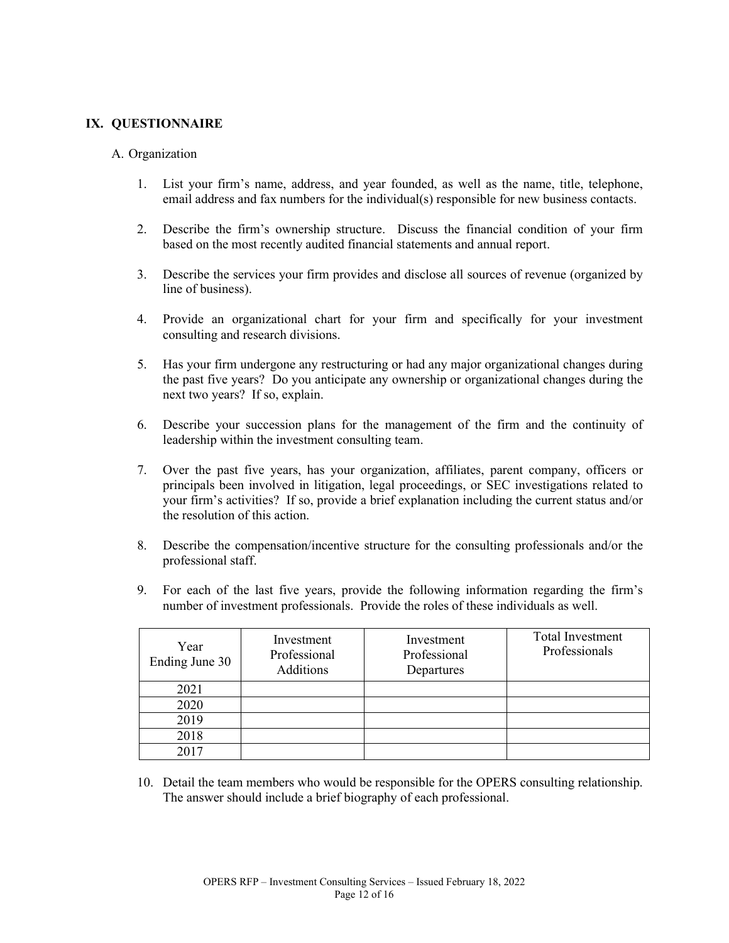### **IX. QUESTIONNAIRE**

### A. Organization

- 1. List your firm's name, address, and year founded, as well as the name, title, telephone, email address and fax numbers for the individual(s) responsible for new business contacts.
- 2. Describe the firm's ownership structure. Discuss the financial condition of your firm based on the most recently audited financial statements and annual report.
- 3. Describe the services your firm provides and disclose all sources of revenue (organized by line of business).
- 4. Provide an organizational chart for your firm and specifically for your investment consulting and research divisions.
- 5. Has your firm undergone any restructuring or had any major organizational changes during the past five years? Do you anticipate any ownership or organizational changes during the next two years? If so, explain.
- 6. Describe your succession plans for the management of the firm and the continuity of leadership within the investment consulting team.
- 7. Over the past five years, has your organization, affiliates, parent company, officers or principals been involved in litigation, legal proceedings, or SEC investigations related to your firm's activities? If so, provide a brief explanation including the current status and/or the resolution of this action.
- 8. Describe the compensation/incentive structure for the consulting professionals and/or the professional staff.
- 9. For each of the last five years, provide the following information regarding the firm's number of investment professionals. Provide the roles of these individuals as well.

| Year<br>Ending June 30 | Investment<br>Professional<br>Additions | Investment<br>Professional<br>Departures | Total Investment<br>Professionals |
|------------------------|-----------------------------------------|------------------------------------------|-----------------------------------|
| 2021                   |                                         |                                          |                                   |
| 2020                   |                                         |                                          |                                   |
| 2019                   |                                         |                                          |                                   |
| 2018                   |                                         |                                          |                                   |
| 2017                   |                                         |                                          |                                   |

10. Detail the team members who would be responsible for the OPERS consulting relationship. The answer should include a brief biography of each professional.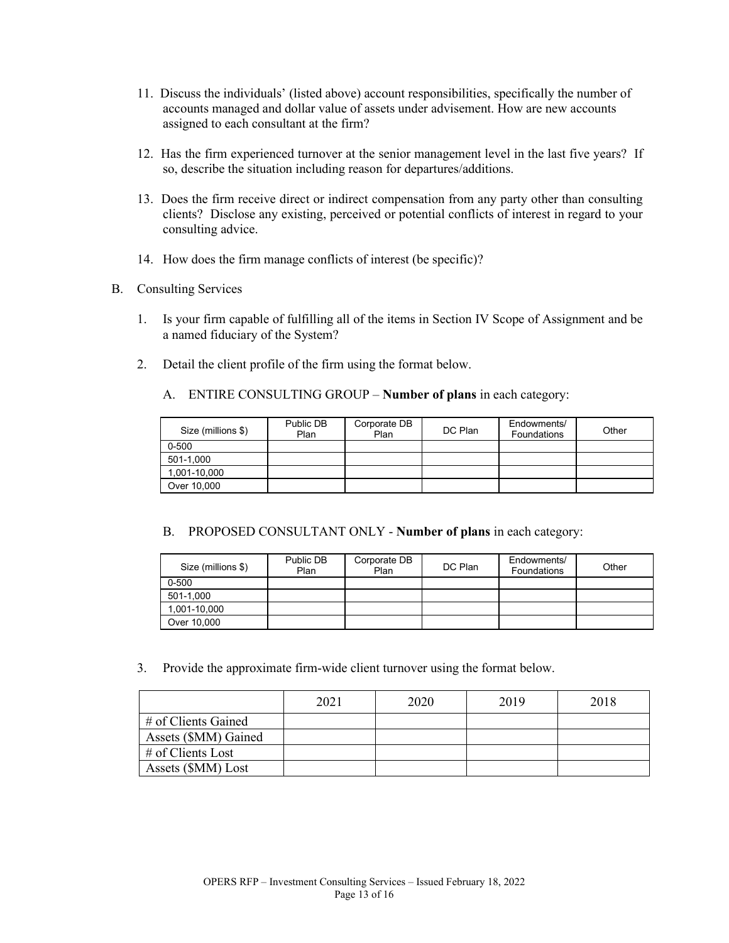- 11. Discuss the individuals' (listed above) account responsibilities, specifically the number of accounts managed and dollar value of assets under advisement. How are new accounts assigned to each consultant at the firm?
- 12. Has the firm experienced turnover at the senior management level in the last five years? If so, describe the situation including reason for departures/additions.
- 13. Does the firm receive direct or indirect compensation from any party other than consulting clients? Disclose any existing, perceived or potential conflicts of interest in regard to your consulting advice.
- 14. How does the firm manage conflicts of interest (be specific)?
- B. Consulting Services
	- 1. Is your firm capable of fulfilling all of the items in Section IV Scope of Assignment and be a named fiduciary of the System?
	- 2. Detail the client profile of the firm using the format below.
		- A. ENTIRE CONSULTING GROUP **Number of plans** in each category:

| Size (millions \$) | Public DB<br>Plan | Corporate DB<br>Plan | DC Plan | Endowments/<br><b>Foundations</b> | Other |
|--------------------|-------------------|----------------------|---------|-----------------------------------|-------|
| $0 - 500$          |                   |                      |         |                                   |       |
| 501-1,000          |                   |                      |         |                                   |       |
| 1,001-10,000       |                   |                      |         |                                   |       |
| Over 10,000        |                   |                      |         |                                   |       |

B. PROPOSED CONSULTANT ONLY - **Number of plans** in each category:

| Size (millions \$) | Public DB<br>Plan | Corporate DB<br>Plan | DC Plan | Endowments/<br>Foundations | Other |
|--------------------|-------------------|----------------------|---------|----------------------------|-------|
| $0 - 500$          |                   |                      |         |                            |       |
| 501-1,000          |                   |                      |         |                            |       |
| 1,001-10,000       |                   |                      |         |                            |       |
| Over 10,000        |                   |                      |         |                            |       |

3. Provide the approximate firm-wide client turnover using the format below.

|                      | 2021 | 2020 | 2019 | 2018 |
|----------------------|------|------|------|------|
| # of Clients Gained  |      |      |      |      |
| Assets (\$MM) Gained |      |      |      |      |
| # of Clients Lost    |      |      |      |      |
| Assets (\$MM) Lost   |      |      |      |      |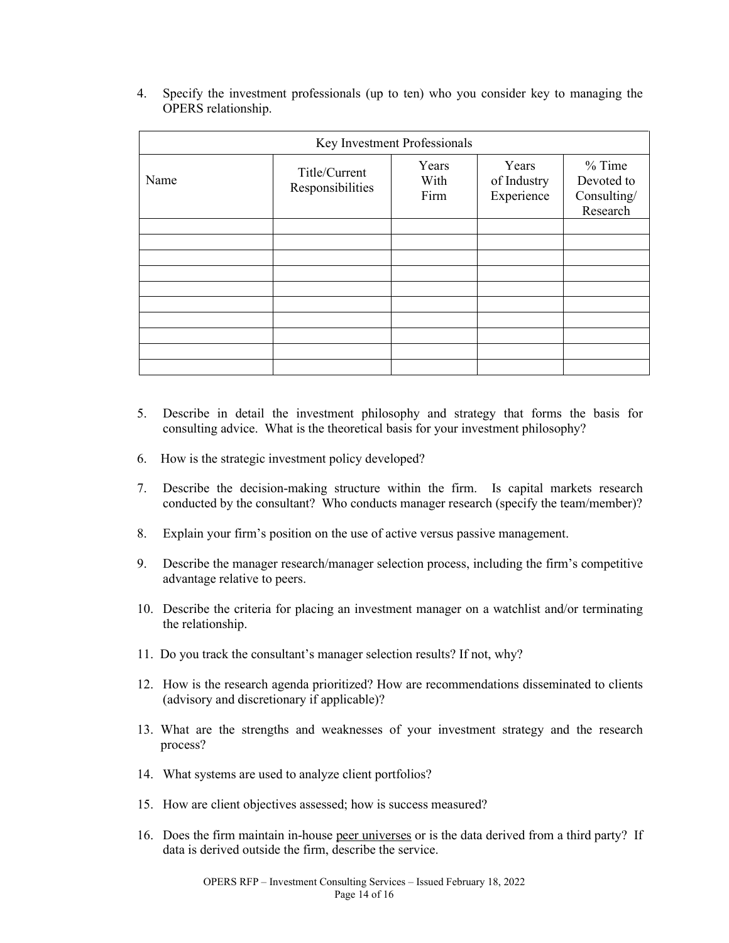| OI ERS IGRIBISHIP. |                                   |                       |                                    |                                                   |  |  |  |  |
|--------------------|-----------------------------------|-----------------------|------------------------------------|---------------------------------------------------|--|--|--|--|
|                    | Key Investment Professionals      |                       |                                    |                                                   |  |  |  |  |
| Name               | Title/Current<br>Responsibilities | Years<br>With<br>Firm | Years<br>of Industry<br>Experience | $%$ Time<br>Devoted to<br>Consulting/<br>Research |  |  |  |  |
|                    |                                   |                       |                                    |                                                   |  |  |  |  |
|                    |                                   |                       |                                    |                                                   |  |  |  |  |
|                    |                                   |                       |                                    |                                                   |  |  |  |  |

4. Specify the investment professionals (up to ten) who you consider key to managing the OPERS relationship.

- 5. Describe in detail the investment philosophy and strategy that forms the basis for consulting advice. What is the theoretical basis for your investment philosophy?
- 6. How is the strategic investment policy developed?
- 7. Describe the decision-making structure within the firm. Is capital markets research conducted by the consultant? Who conducts manager research (specify the team/member)?
- 8. Explain your firm's position on the use of active versus passive management.
- 9. Describe the manager research/manager selection process, including the firm's competitive advantage relative to peers.
- 10. Describe the criteria for placing an investment manager on a watchlist and/or terminating the relationship.
- 11. Do you track the consultant's manager selection results? If not, why?
- 12. How is the research agenda prioritized? How are recommendations disseminated to clients (advisory and discretionary if applicable)?
- 13. What are the strengths and weaknesses of your investment strategy and the research process?
- 14. What systems are used to analyze client portfolios?
- 15. How are client objectives assessed; how is success measured?
- 16. Does the firm maintain in-house peer universes or is the data derived from a third party? If data is derived outside the firm, describe the service.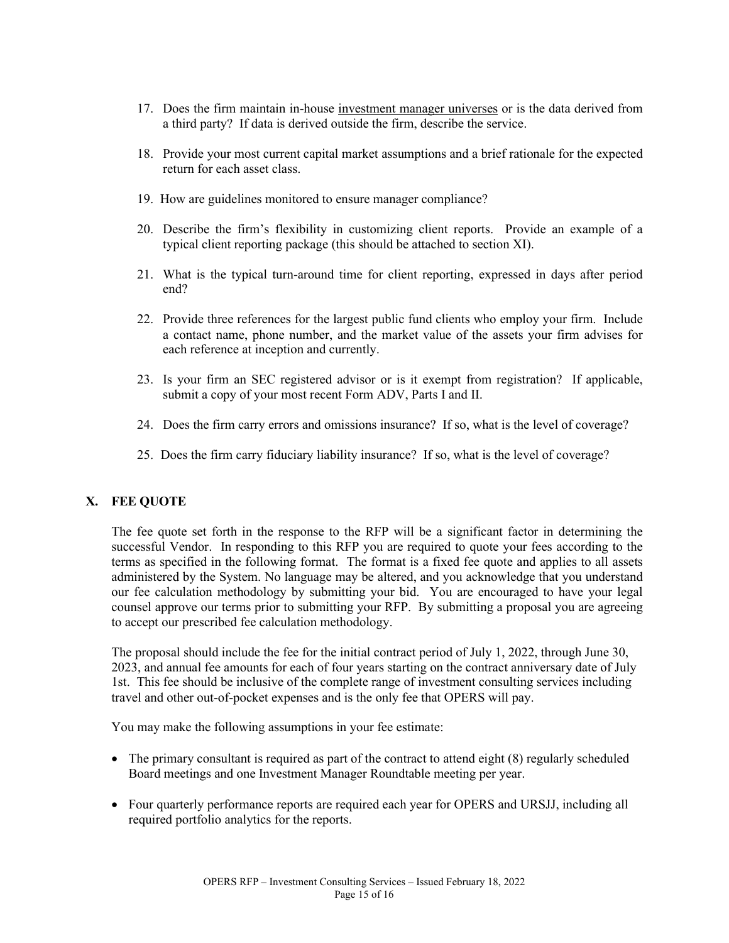- 17. Does the firm maintain in-house investment manager universes or is the data derived from a third party? If data is derived outside the firm, describe the service.
- 18. Provide your most current capital market assumptions and a brief rationale for the expected return for each asset class.
- 19. How are guidelines monitored to ensure manager compliance?
- 20. Describe the firm's flexibility in customizing client reports. Provide an example of a typical client reporting package (this should be attached to section XI).
- 21. What is the typical turn-around time for client reporting, expressed in days after period end?
- 22. Provide three references for the largest public fund clients who employ your firm. Include a contact name, phone number, and the market value of the assets your firm advises for each reference at inception and currently.
- 23. Is your firm an SEC registered advisor or is it exempt from registration? If applicable, submit a copy of your most recent Form ADV, Parts I and II.
- 24. Does the firm carry errors and omissions insurance? If so, what is the level of coverage?
- 25. Does the firm carry fiduciary liability insurance? If so, what is the level of coverage?

### **X. FEE QUOTE**

The fee quote set forth in the response to the RFP will be a significant factor in determining the successful Vendor. In responding to this RFP you are required to quote your fees according to the terms as specified in the following format. The format is a fixed fee quote and applies to all assets administered by the System. No language may be altered, and you acknowledge that you understand our fee calculation methodology by submitting your bid. You are encouraged to have your legal counsel approve our terms prior to submitting your RFP. By submitting a proposal you are agreeing to accept our prescribed fee calculation methodology.

The proposal should include the fee for the initial contract period of July 1, 2022, through June 30, 2023, and annual fee amounts for each of four years starting on the contract anniversary date of July 1st. This fee should be inclusive of the complete range of investment consulting services including travel and other out-of-pocket expenses and is the only fee that OPERS will pay.

You may make the following assumptions in your fee estimate:

- The primary consultant is required as part of the contract to attend eight (8) regularly scheduled Board meetings and one Investment Manager Roundtable meeting per year.
- Four quarterly performance reports are required each year for OPERS and URSJJ, including all required portfolio analytics for the reports.